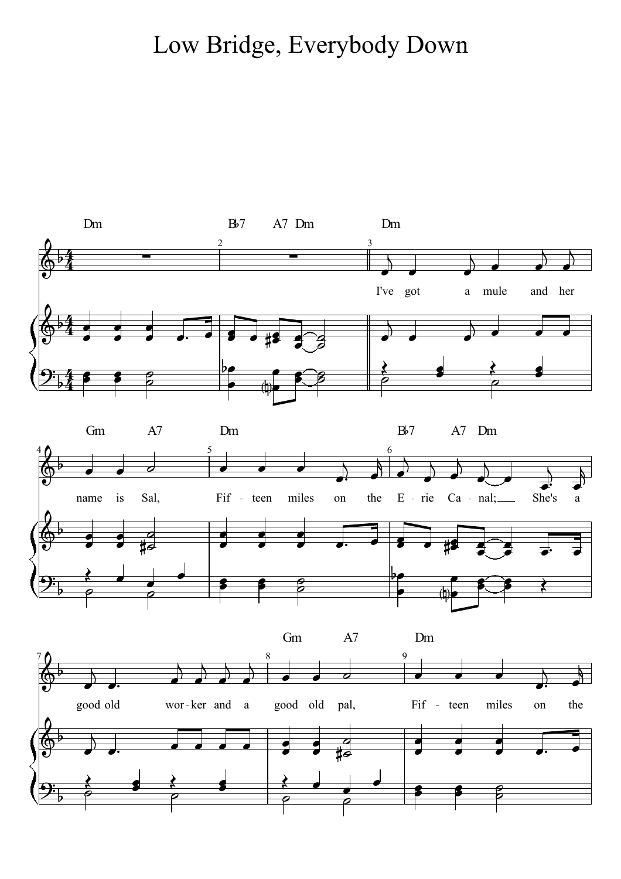## Low Bridge, Everybody Down

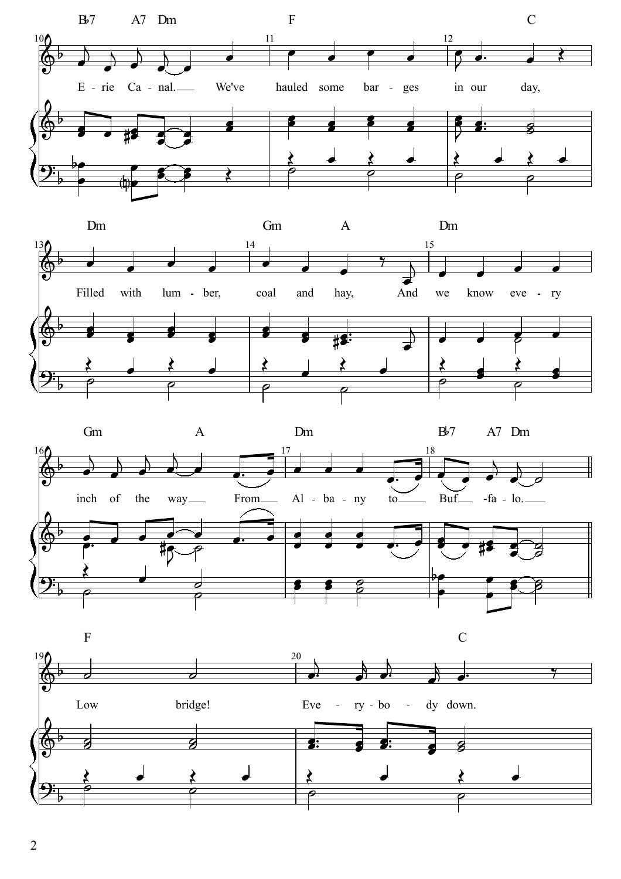





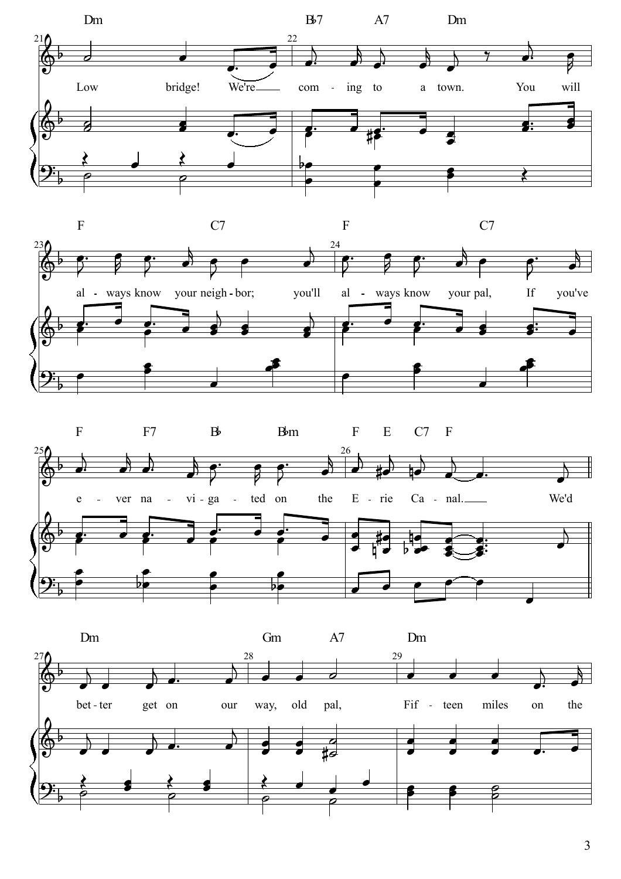





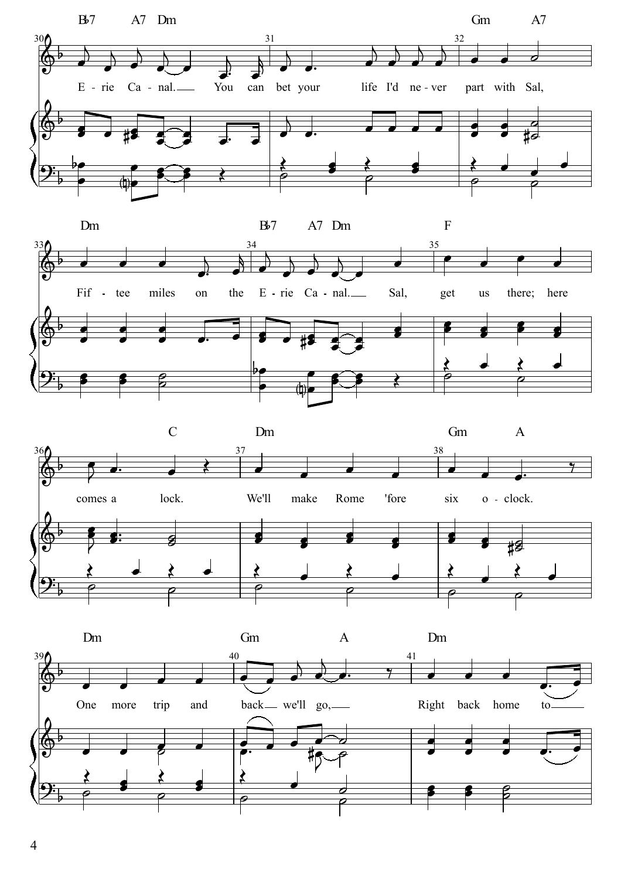





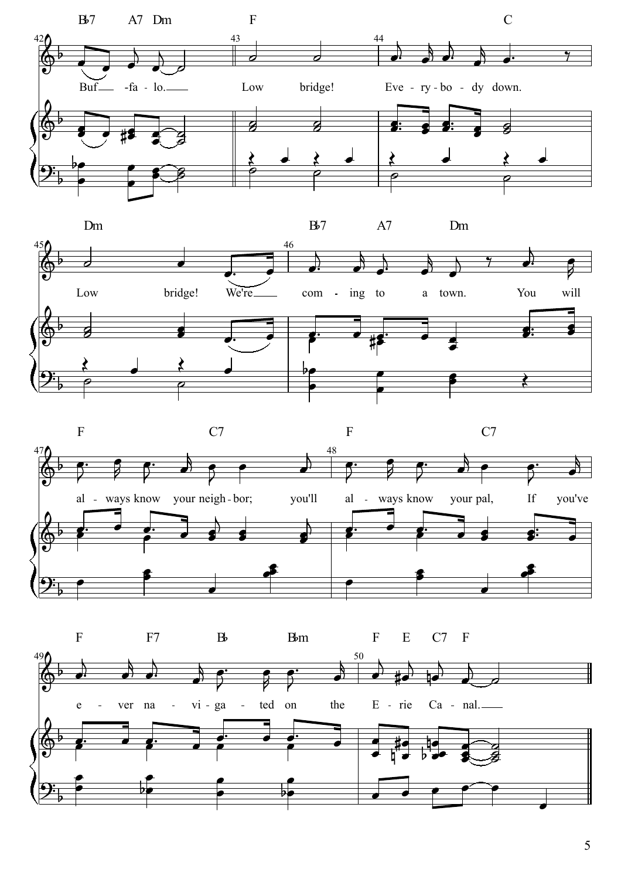





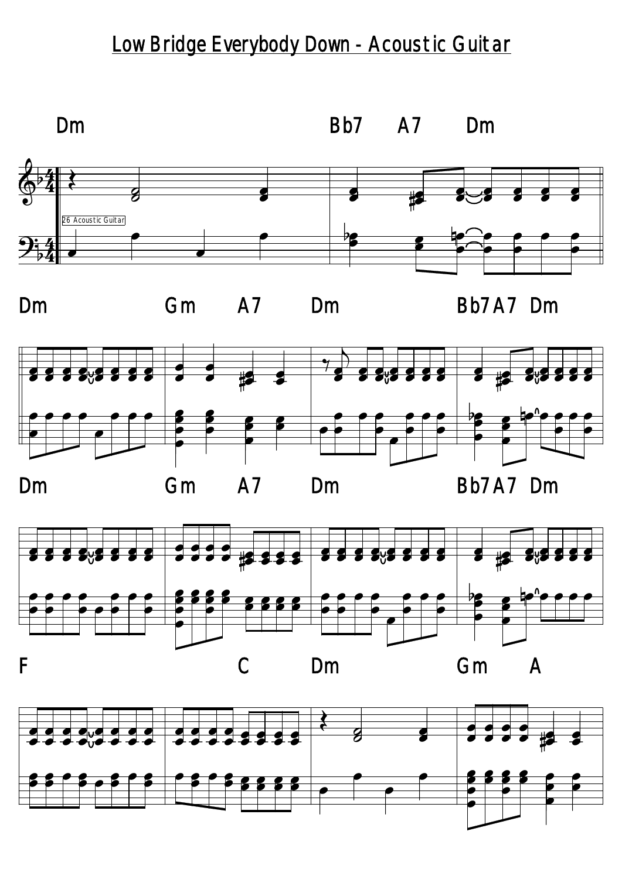## Low Bridge Everybody Down - Acoustic Guitar



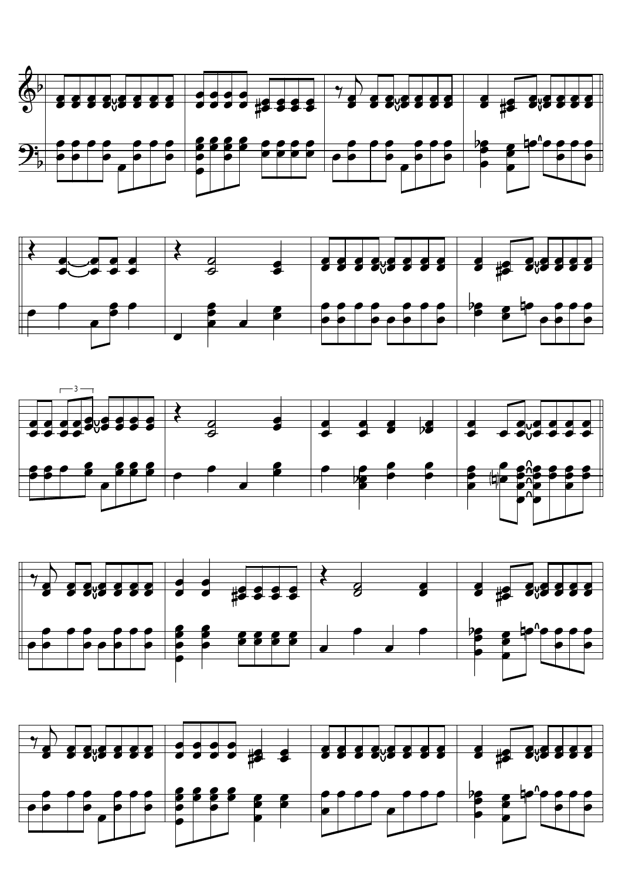







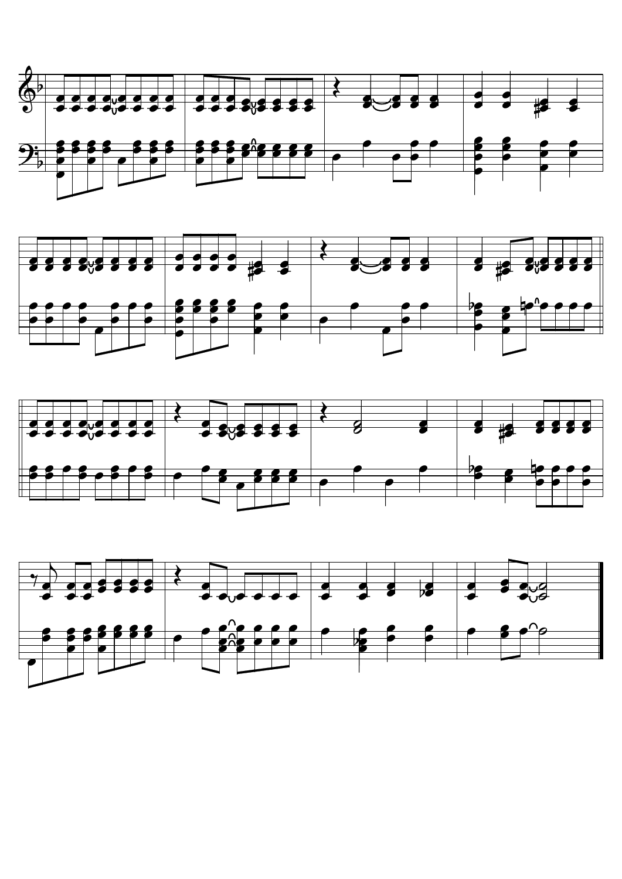





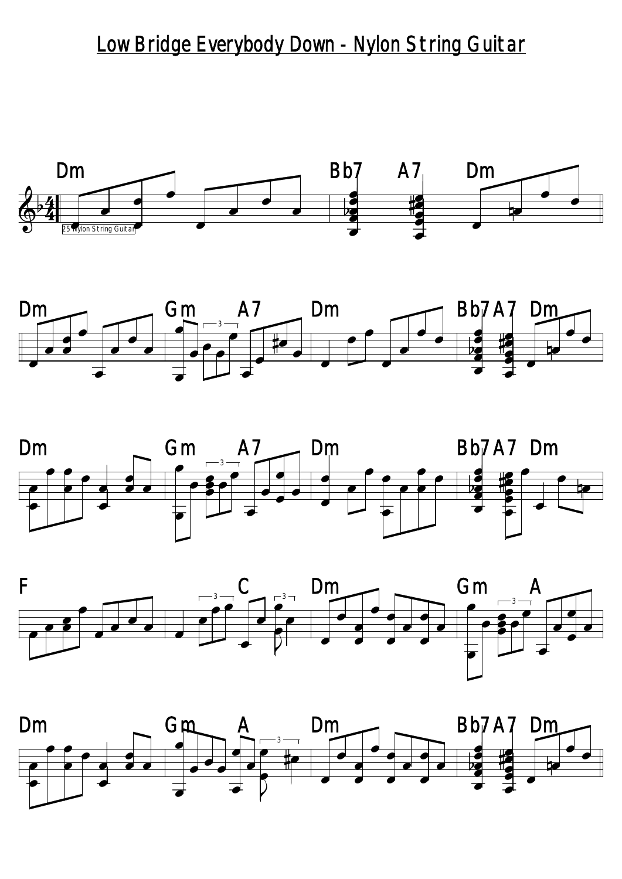## Low Bridge Everybody Down - Nylon String Guitar









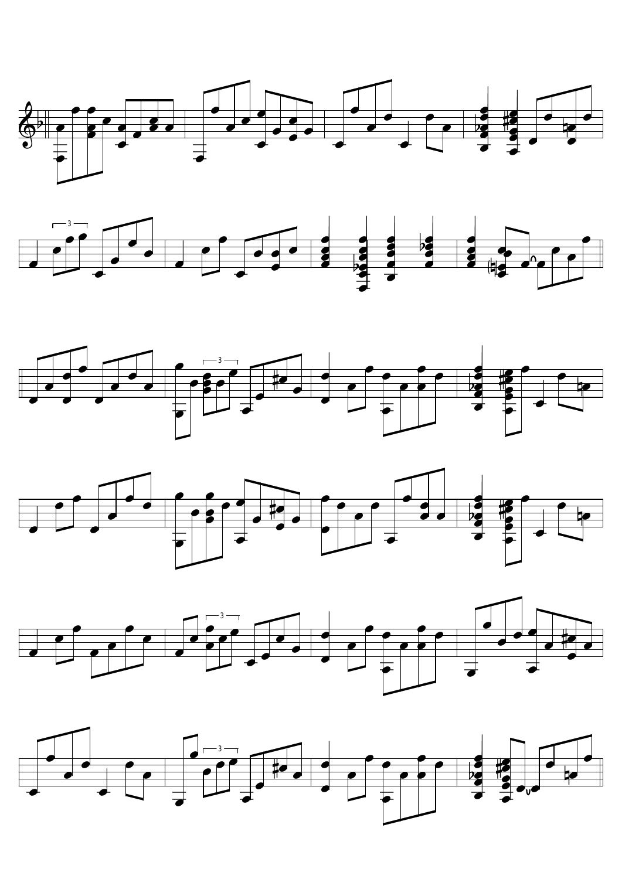









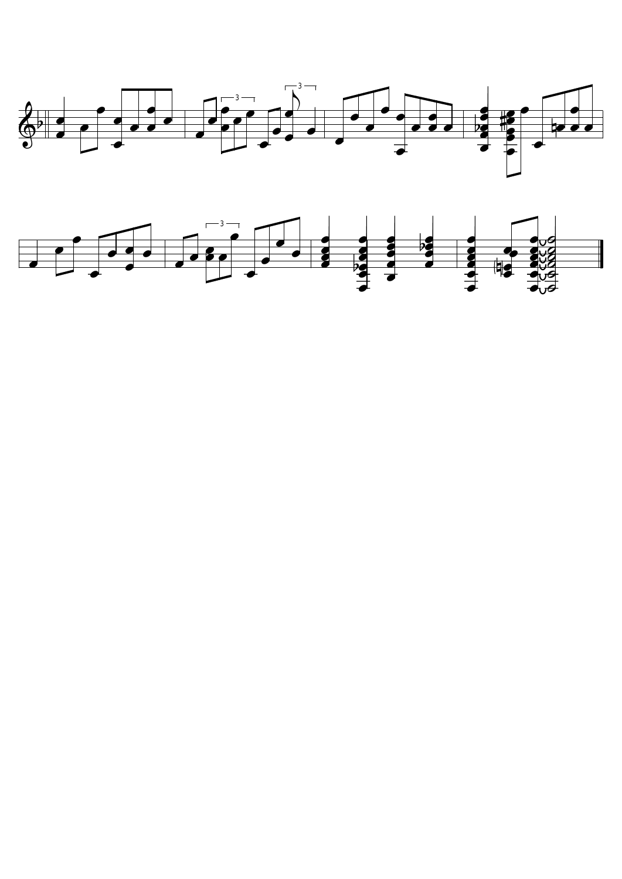